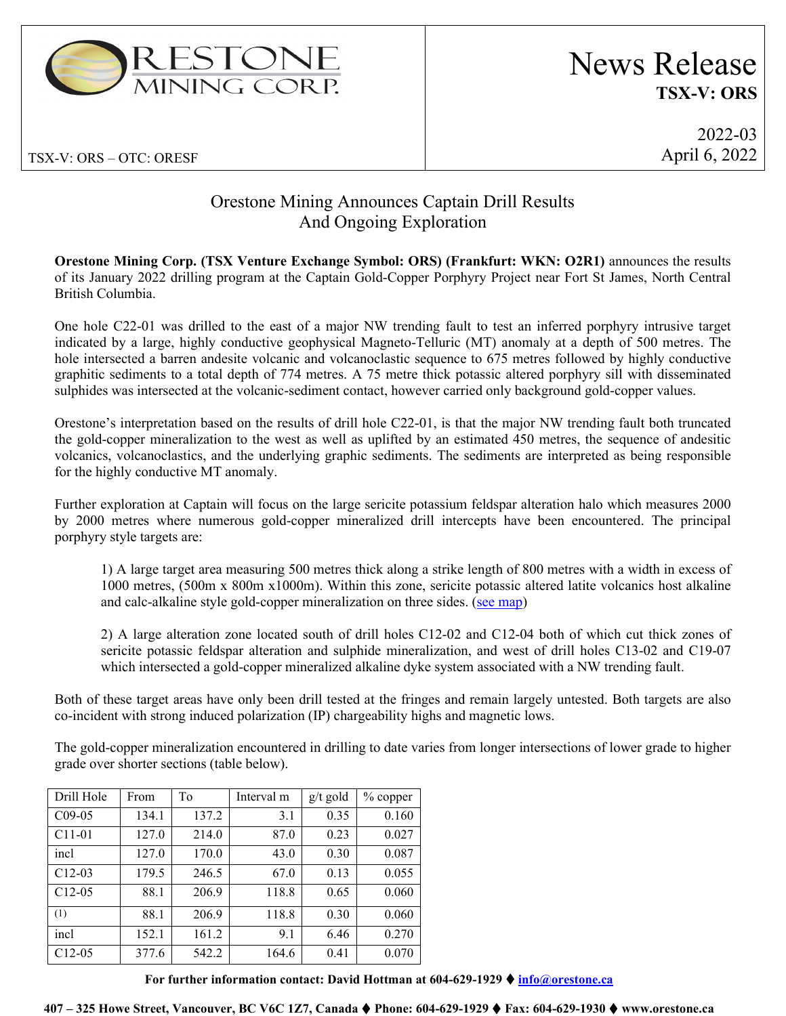

TSX-V: ORS – OTC: ORESF

# News Release **TSX-V: ORS**

2022-03 April 6, 2022

# Orestone Mining Announces Captain Drill Results And Ongoing Exploration

**Orestone Mining Corp. (TSX Venture Exchange Symbol: ORS) (Frankfurt: WKN: O2R1)** announces the results of its January 2022 drilling program at the Captain Gold-Copper Porphyry Project near Fort St James, North Central British Columbia.

One hole C22-01 was drilled to the east of a major NW trending fault to test an inferred porphyry intrusive target indicated by a large, highly conductive geophysical Magneto-Telluric (MT) anomaly at a depth of 500 metres. The hole intersected a barren andesite volcanic and volcanoclastic sequence to 675 metres followed by highly conductive graphitic sediments to a total depth of 774 metres. A 75 metre thick potassic altered porphyry sill with disseminated sulphides was intersected at the volcanic-sediment contact, however carried only background gold-copper values.

Orestone's interpretation based on the results of drill hole C22-01, is that the major NW trending fault both truncated the gold-copper mineralization to the west as well as uplifted by an estimated 450 metres, the sequence of andesitic volcanics, volcanoclastics, and the underlying graphic sediments. The sediments are interpreted as being responsible for the highly conductive MT anomaly.

Further exploration at Captain will focus on the large sericite potassium feldspar alteration halo which measures 2000 by 2000 metres where numerous gold-copper mineralized drill intercepts have been encountered. The principal porphyry style targets are:

1) A large target area measuring 500 metres thick along a strike length of 800 metres with a width in excess of 1000 metres, (500m x 800m x1000m). Within this zone, sericite potassic altered latite volcanics host alkaline and calc-alkaline style gold-copper mineralization on three sides. [\(see map\)](https://orestone.ca/projects/captain-property/)

2) A large alteration zone located south of drill holes C12-02 and C12-04 both of which cut thick zones of sericite potassic feldspar alteration and sulphide mineralization, and west of drill holes C13-02 and C19-07 which intersected a gold-copper mineralized alkaline dyke system associated with a NW trending fault.

Both of these target areas have only been drill tested at the fringes and remain largely untested. Both targets are also co-incident with strong induced polarization (IP) chargeability highs and magnetic lows.

The gold-copper mineralization encountered in drilling to date varies from longer intersections of lower grade to higher grade over shorter sections (table below).

| Drill Hole          | From  | To    | Interval m | $g/t$ gold | % copper |
|---------------------|-------|-------|------------|------------|----------|
| $C09-05$            | 134.1 | 137.2 | 3.1        | 0.35       | 0.160    |
| C <sub>11</sub> -01 | 127.0 | 214.0 | 87.0       | 0.23       | 0.027    |
| incl                | 127.0 | 170.0 | 43.0       | 0.30       | 0.087    |
| $C12-03$            | 179.5 | 246.5 | 67.0       | 0.13       | 0.055    |
| $C12-05$            | 88.1  | 206.9 | 118.8      | 0.65       | 0.060    |
| (1)                 | 88.1  | 206.9 | 118.8      | 0.30       | 0.060    |
| incl                | 152.1 | 161.2 | 9.1        | 6.46       | 0.270    |
| $C12-05$            | 377.6 | 542.2 | 164.6      | 0.41       | 0.070    |

**For further information contact: David Hottman at 604-629-1929 [info@orestone.ca](mailto:info@orestone.ca)**

**407 – 325 Howe Street, Vancouver, BC V6C 1Z7, Canada Phone: 604-629-1929 Fax: 604-629-1930 www.orestone.ca**